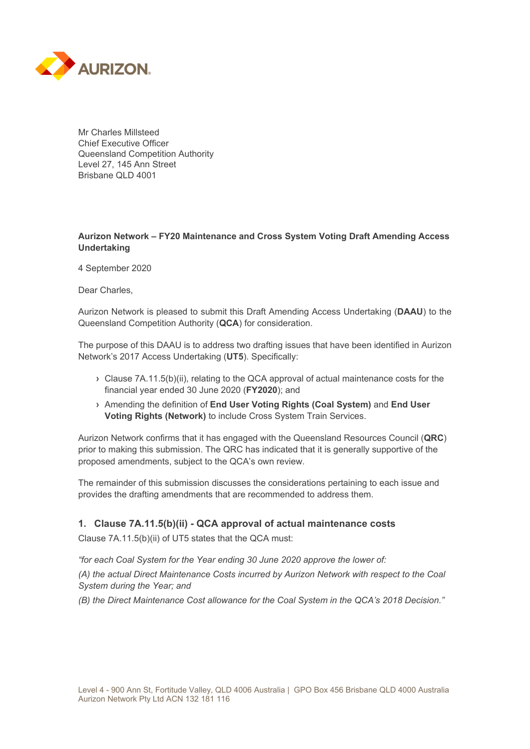

Mr Charles Millsteed Chief Executive Officer Queensland Competition Authority Level 27, 145 Ann Street Brisbane QLD 4001

## **Aurizon Network – FY20 Maintenance and Cross System Voting Draft Amending Access Undertaking**

4 September 2020

Dear Charles,

Aurizon Network is pleased to submit this Draft Amending Access Undertaking (**DAAU**) to the Queensland Competition Authority (**QCA**) for consideration.

The purpose of this DAAU is to address two drafting issues that have been identified in Aurizon Network's 2017 Access Undertaking (**UT5**). Specifically:

- **›** Clause 7A.11.5(b)(ii), relating to the QCA approval of actual maintenance costs for the financial year ended 30 June 2020 (**FY2020**); and
- **›** Amending the definition of **End User Voting Rights (Coal System)** and **End User Voting Rights (Network)** to include Cross System Train Services.

Aurizon Network confirms that it has engaged with the Queensland Resources Council (**QRC**) prior to making this submission. The QRC has indicated that it is generally supportive of the proposed amendments, subject to the QCA's own review.

The remainder of this submission discusses the considerations pertaining to each issue and provides the drafting amendments that are recommended to address them.

## **1. Clause 7A.11.5(b)(ii) - QCA approval of actual maintenance costs**

Clause 7A.11.5(b)(ii) of UT5 states that the QCA must:

*"for each Coal System for the Year ending 30 June 2020 approve the lower of:* 

*(A) the actual Direct Maintenance Costs incurred by Aurizon Network with respect to the Coal System during the Year; and* 

*(B) the Direct Maintenance Cost allowance for the Coal System in the QCA's 2018 Decision."*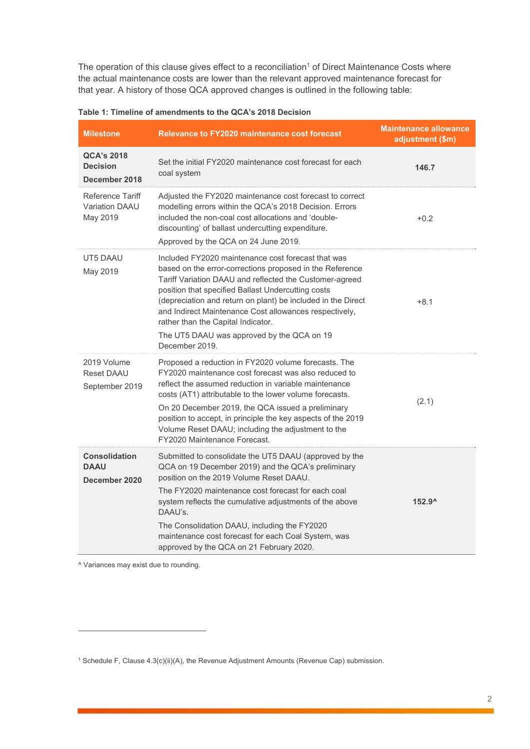The operation of this clause gives effect to a reconciliation<sup>1</sup> of Direct Maintenance Costs where the actual maintenance costs are lower than the relevant approved maintenance forecast for that year. A history of those QCA approved changes is outlined in the following table:

| <b>Milestone</b>                                      | <b>Relevance to FY2020 maintenance cost forecast</b>                                                                                                                                                                                                                                                                                                                                                                                                            | <b>Maintenance allowance</b><br>adjustment (\$m) |
|-------------------------------------------------------|-----------------------------------------------------------------------------------------------------------------------------------------------------------------------------------------------------------------------------------------------------------------------------------------------------------------------------------------------------------------------------------------------------------------------------------------------------------------|--------------------------------------------------|
| <b>QCA's 2018</b><br><b>Decision</b><br>December 2018 | Set the initial FY2020 maintenance cost forecast for each<br>coal system                                                                                                                                                                                                                                                                                                                                                                                        | 146.7                                            |
| Reference Tariff<br>Variation DAAU<br>May 2019        | Adjusted the FY2020 maintenance cost forecast to correct<br>modelling errors within the QCA's 2018 Decision. Errors<br>included the non-coal cost allocations and 'double-<br>discounting' of ballast undercutting expenditure.<br>Approved by the QCA on 24 June 2019.                                                                                                                                                                                         | $+0.2$                                           |
| UT5 DAAU<br>May 2019                                  | Included FY2020 maintenance cost forecast that was<br>based on the error-corrections proposed in the Reference<br>Tariff Variation DAAU and reflected the Customer-agreed<br>position that specified Ballast Undercutting costs<br>(depreciation and return on plant) be included in the Direct<br>and Indirect Maintenance Cost allowances respectively,<br>rather than the Capital Indicator.<br>The UT5 DAAU was approved by the QCA on 19<br>December 2019. | $+8.1$                                           |
| 2019 Volume<br>Reset DAAU<br>September 2019           | Proposed a reduction in FY2020 volume forecasts. The<br>FY2020 maintenance cost forecast was also reduced to<br>reflect the assumed reduction in variable maintenance<br>costs (AT1) attributable to the lower volume forecasts.<br>On 20 December 2019, the QCA issued a preliminary<br>position to accept, in principle the key aspects of the 2019<br>Volume Reset DAAU; including the adjustment to the<br>FY2020 Maintenance Forecast.                     | (2.1)                                            |
| <b>Consolidation</b><br><b>DAAU</b><br>December 2020  | Submitted to consolidate the UT5 DAAU (approved by the<br>QCA on 19 December 2019) and the QCA's preliminary<br>position on the 2019 Volume Reset DAAU.<br>The FY2020 maintenance cost forecast for each coal<br>system reflects the cumulative adjustments of the above<br>DAAU's.<br>The Consolidation DAAU, including the FY2020<br>maintenance cost forecast for each Coal System, was<br>approved by the QCA on 21 February 2020.                          | $152.9^{\circ}$                                  |

**Table 1: Timeline of amendments to the QCA's 2018 Decision** 

^ Variances may exist due to rounding.

 $\overline{a}$ 

<sup>&</sup>lt;sup>1</sup> Schedule F, Clause 4.3(c)(ii)(A), the Revenue Adjustment Amounts (Revenue Cap) submission.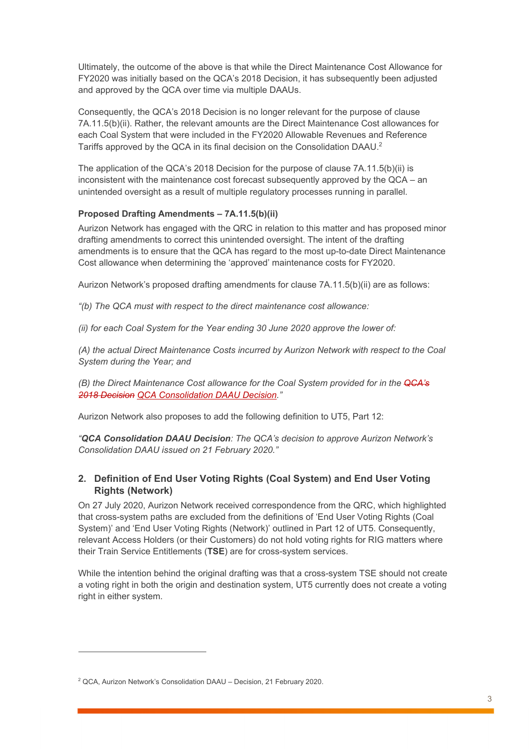Ultimately, the outcome of the above is that while the Direct Maintenance Cost Allowance for FY2020 was initially based on the QCA's 2018 Decision, it has subsequently been adjusted and approved by the QCA over time via multiple DAAUs.

Consequently, the QCA's 2018 Decision is no longer relevant for the purpose of clause 7A.11.5(b)(ii). Rather, the relevant amounts are the Direct Maintenance Cost allowances for each Coal System that were included in the FY2020 Allowable Revenues and Reference Tariffs approved by the QCA in its final decision on the Consolidation DAAU.2

The application of the QCA's 2018 Decision for the purpose of clause 7A.11.5(b)(ii) is inconsistent with the maintenance cost forecast subsequently approved by the QCA – an unintended oversight as a result of multiple regulatory processes running in parallel.

## **Proposed Drafting Amendments – 7A.11.5(b)(ii)**

Aurizon Network has engaged with the QRC in relation to this matter and has proposed minor drafting amendments to correct this unintended oversight. The intent of the drafting amendments is to ensure that the QCA has regard to the most up-to-date Direct Maintenance Cost allowance when determining the 'approved' maintenance costs for FY2020.

Aurizon Network's proposed drafting amendments for clause 7A.11.5(b)(ii) are as follows:

*"(b) The QCA must with respect to the direct maintenance cost allowance:* 

*(ii) for each Coal System for the Year ending 30 June 2020 approve the lower of:* 

*(A) the actual Direct Maintenance Costs incurred by Aurizon Network with respect to the Coal System during the Year; and* 

*(B) the Direct Maintenance Cost allowance for the Coal System provided for in the QCA's 2018 Decision QCA Consolidation DAAU Decision."* 

Aurizon Network also proposes to add the following definition to UT5, Part 12:

*"QCA Consolidation DAAU Decision: The QCA's decision to approve Aurizon Network's Consolidation DAAU issued on 21 February 2020."* 

# **2. Definition of End User Voting Rights (Coal System) and End User Voting Rights (Network)**

On 27 July 2020, Aurizon Network received correspondence from the QRC, which highlighted that cross-system paths are excluded from the definitions of 'End User Voting Rights (Coal System)' and 'End User Voting Rights (Network)' outlined in Part 12 of UT5. Consequently, relevant Access Holders (or their Customers) do not hold voting rights for RIG matters where their Train Service Entitlements (**TSE**) are for cross-system services.

While the intention behind the original drafting was that a cross-system TSE should not create a voting right in both the origin and destination system, UT5 currently does not create a voting right in either system.

 $\overline{a}$ 

<sup>&</sup>lt;sup>2</sup> QCA, Aurizon Network's Consolidation DAAU - Decision, 21 February 2020.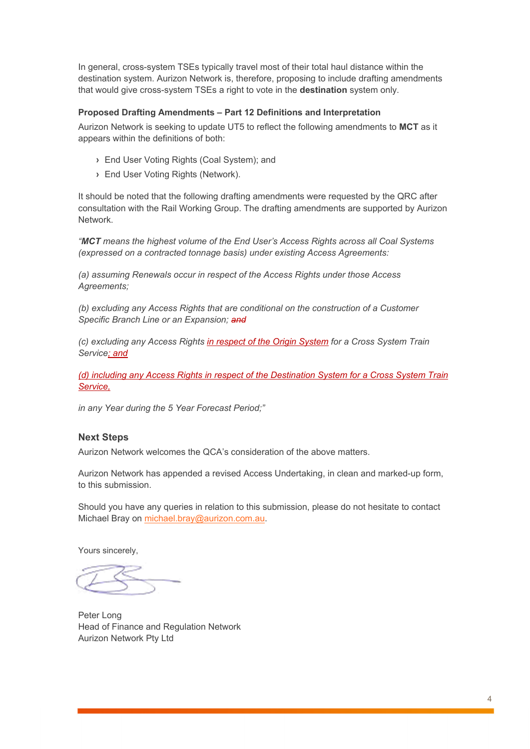In general, cross-system TSEs typically travel most of their total haul distance within the destination system. Aurizon Network is, therefore, proposing to include drafting amendments that would give cross-system TSEs a right to vote in the **destination** system only.

### **Proposed Drafting Amendments – Part 12 Definitions and Interpretation**

Aurizon Network is seeking to update UT5 to reflect the following amendments to **MCT** as it appears within the definitions of both:

- **›** End User Voting Rights (Coal System); and
- **›** End User Voting Rights (Network).

It should be noted that the following drafting amendments were requested by the QRC after consultation with the Rail Working Group. The drafting amendments are supported by Aurizon Network.

*"MCT means the highest volume of the End User's Access Rights across all Coal Systems (expressed on a contracted tonnage basis) under existing Access Agreements:* 

*(a) assuming Renewals occur in respect of the Access Rights under those Access Agreements;* 

*(b) excluding any Access Rights that are conditional on the construction of a Customer Specific Branch Line or an Expansion; and*

*(c) excluding any Access Rights in respect of the Origin System for a Cross System Train Service; and*

*(d) including any Access Rights in respect of the Destination System for a Cross System Train Service,*

*in any Year during the 5 Year Forecast Period;"* 

#### **Next Steps**

Aurizon Network welcomes the QCA's consideration of the above matters.

Aurizon Network has appended a revised Access Undertaking, in clean and marked-up form, to this submission.

Should you have any queries in relation to this submission, please do not hesitate to contact Michael Bray on michael.bray@aurizon.com.au.

Yours sincerely,

Peter Long Head of Finance and Regulation Network Aurizon Network Pty Ltd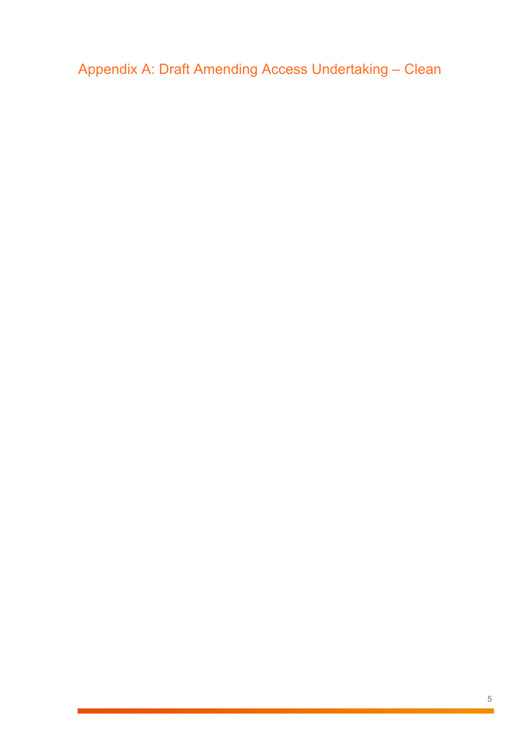Appendix A: Draft Amending Access Undertaking – Clean